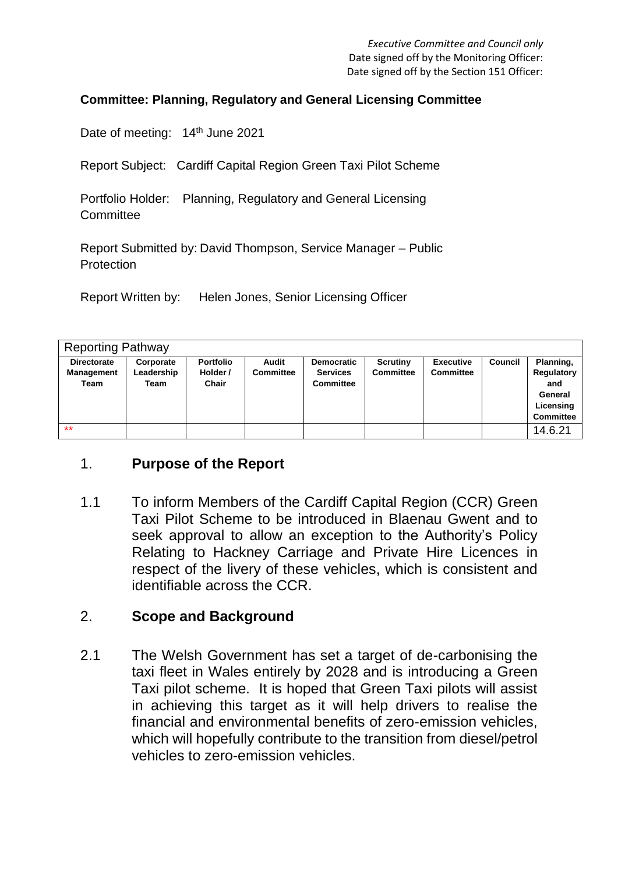#### **Committee: Planning, Regulatory and General Licensing Committee**

Date of meeting: 14<sup>th</sup> June 2021

Report Subject: Cardiff Capital Region Green Taxi Pilot Scheme

Portfolio Holder: Planning, Regulatory and General Licensing **Committee** 

Report Submitted by: David Thompson, Service Manager – Public Protection

Report Written by: Helen Jones, Senior Licensing Officer

| <b>Reporting Pathway</b>                        |                                 |                                              |                    |                                                          |                              |                                      |         |                                                                            |
|-------------------------------------------------|---------------------------------|----------------------------------------------|--------------------|----------------------------------------------------------|------------------------------|--------------------------------------|---------|----------------------------------------------------------------------------|
| <b>Directorate</b><br><b>Management</b><br>Team | Corporate<br>Leadership<br>Team | <b>Portfolio</b><br>Holder /<br><b>Chair</b> | Audit<br>Committee | <b>Democratic</b><br><b>Services</b><br><b>Committee</b> | Scrutiny<br><b>Committee</b> | <b>Executive</b><br><b>Committee</b> | Council | Planning,<br>Regulatory<br>and<br>General<br>Licensing<br><b>Committee</b> |
| $*$                                             |                                 |                                              |                    |                                                          |                              |                                      |         | 14.6.21                                                                    |

### 1. **Purpose of the Report**

1.1 To inform Members of the Cardiff Capital Region (CCR) Green Taxi Pilot Scheme to be introduced in Blaenau Gwent and to seek approval to allow an exception to the Authority's Policy Relating to Hackney Carriage and Private Hire Licences in respect of the livery of these vehicles, which is consistent and identifiable across the CCR.

#### 2. **Scope and Background**

2.1 The Welsh Government has set a target of de-carbonising the taxi fleet in Wales entirely by 2028 and is introducing a Green Taxi pilot scheme. It is hoped that Green Taxi pilots will assist in achieving this target as it will help drivers to realise the financial and environmental benefits of zero-emission vehicles which will hopefully contribute to the transition from diesel/petrol vehicles to zero-emission vehicles.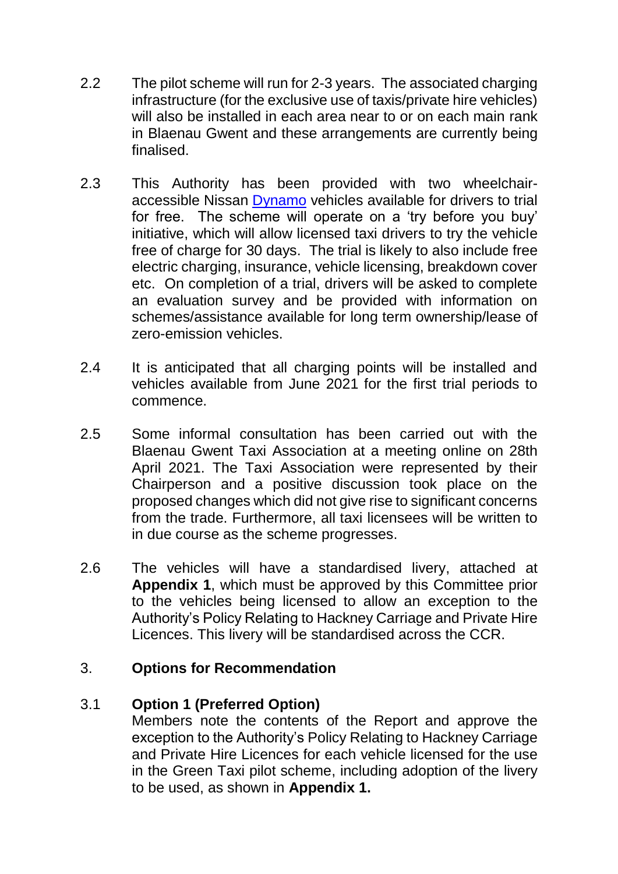- 2.2 The pilot scheme will run for 2-3 years. The associated charging infrastructure (for the exclusive use of taxis/private hire vehicles) will also be installed in each area near to or on each main rank in Blaenau Gwent and these arrangements are currently being finalised.
- 2.3 This Authority has been provided with two wheelchairaccessible Nissan [Dynamo](https://eur03.safelinks.protection.outlook.com/?url=https%3A%2F%2Fwww.dynamotaxi.com%2F&data=04%7C01%7CHelen.Jones%40blaenau-gwent.gov.uk%7C4ffa1ce5aa024ee057d608d8ef8b3602%7C2c4d0079c52c4bb3b3cad8eaf1b6b7d5%7C0%7C0%7C637522728473732329%7CUnknown%7CTWFpbGZsb3d8eyJWIjoiMC4wLjAwMDAiLCJQIjoiV2luMzIiLCJBTiI6Ik1haWwiLCJXVCI6Mn0%3D%7C1000&sdata=Jpn3uf4MjjNl8Gpeaui9755pCU3%2Fm8%2BPOwPrcMiduVA%3D&reserved=0) vehicles available for drivers to trial for free. The scheme will operate on a 'try before you buy' initiative, which will allow licensed taxi drivers to try the vehicle free of charge for 30 days. The trial is likely to also include free electric charging, insurance, vehicle licensing, breakdown cover etc. On completion of a trial, drivers will be asked to complete an evaluation survey and be provided with information on schemes/assistance available for long term ownership/lease of zero-emission vehicles.
- 2.4 It is anticipated that all charging points will be installed and vehicles available from June 2021 for the first trial periods to commence.
- 2.5 Some informal consultation has been carried out with the Blaenau Gwent Taxi Association at a meeting online on 28th April 2021. The Taxi Association were represented by their Chairperson and a positive discussion took place on the proposed changes which did not give rise to significant concerns from the trade. Furthermore, all taxi licensees will be written to in due course as the scheme progresses.
- 2.6 The vehicles will have a standardised livery, attached at **Appendix 1**, which must be approved by this Committee prior to the vehicles being licensed to allow an exception to the Authority's Policy Relating to Hackney Carriage and Private Hire Licences. This livery will be standardised across the CCR.

### 3. **Options for Recommendation**

## 3.1 **Option 1 (Preferred Option)**

Members note the contents of the Report and approve the exception to the Authority's Policy Relating to Hackney Carriage and Private Hire Licences for each vehicle licensed for the use in the Green Taxi pilot scheme, including adoption of the livery to be used, as shown in **Appendix 1.**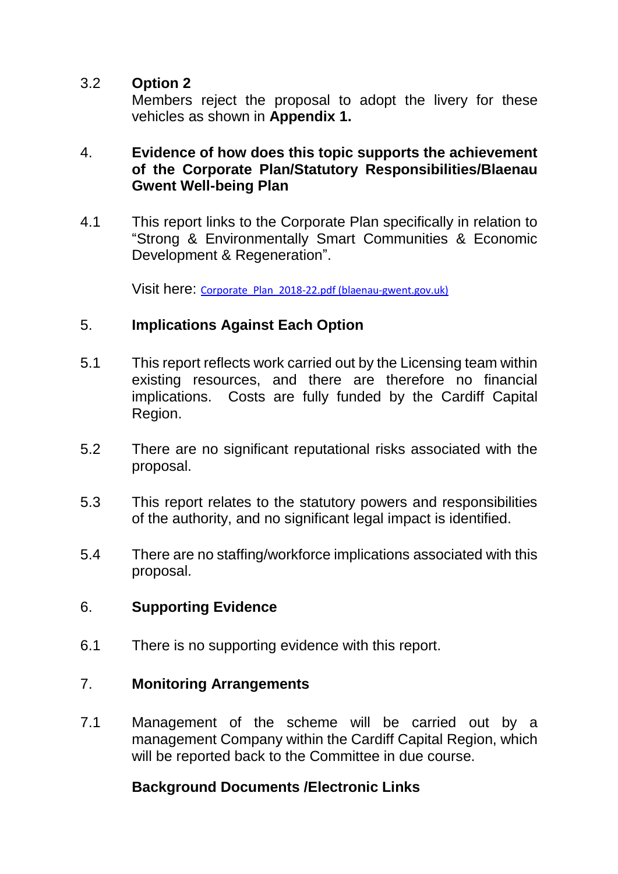### 3.2 **Option 2**

Members reject the proposal to adopt the livery for these vehicles as shown in **Appendix 1.**

#### 4. **Evidence of how does this topic supports the achievement of the Corporate Plan/Statutory Responsibilities/Blaenau Gwent Well-being Plan**

4.1 This report links to the Corporate Plan specifically in relation to "Strong & Environmentally Smart Communities & Economic Development & Regeneration".

Visit here: [Corporate\\_Plan\\_2018-22.pdf \(blaenau-gwent.gov.uk\)](https://www.blaenau-gwent.gov.uk/fileadmin/documents/Council/Policies_Strategies_Plans/Corporate_Plan_2018-22.pdf)

### 5. **Implications Against Each Option**

- 5.1 This report reflects work carried out by the Licensing team within existing resources, and there are therefore no financial implications. Costs are fully funded by the Cardiff Capital Region.
- 5.2 There are no significant reputational risks associated with the proposal.
- 5.3 This report relates to the statutory powers and responsibilities of the authority, and no significant legal impact is identified.
- 5.4 There are no staffing/workforce implications associated with this proposal.

### 6. **Supporting Evidence**

6.1 There is no supporting evidence with this report.

## 7. **Monitoring Arrangements**

7.1 Management of the scheme will be carried out by a management Company within the Cardiff Capital Region, which will be reported back to the Committee in due course.

## **Background Documents /Electronic Links**